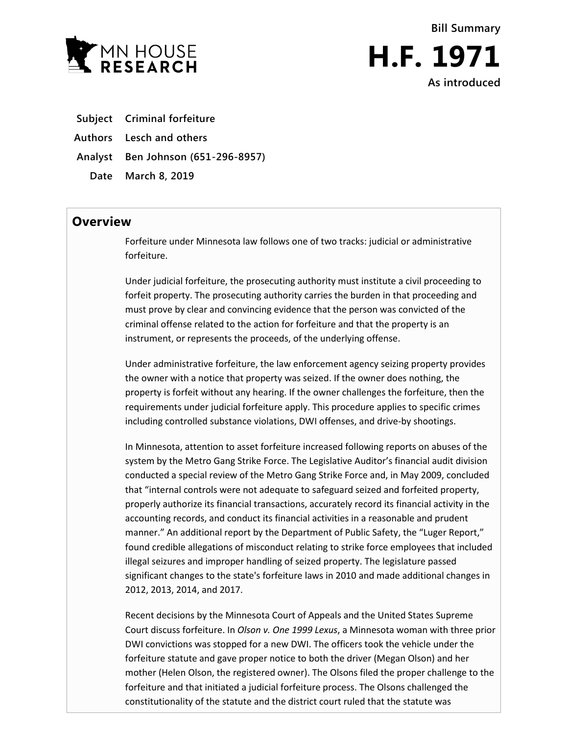



- **Subject Criminal forfeiture**
- **Authors Lesch and others**
- **Analyst Ben Johnson (651-296-8957)**
	- **Date March 8, 2019**

### **Overview**

Forfeiture under Minnesota law follows one of two tracks: judicial or administrative forfeiture.

Under judicial forfeiture, the prosecuting authority must institute a civil proceeding to forfeit property. The prosecuting authority carries the burden in that proceeding and must prove by clear and convincing evidence that the person was convicted of the criminal offense related to the action for forfeiture and that the property is an instrument, or represents the proceeds, of the underlying offense.

Under administrative forfeiture, the law enforcement agency seizing property provides the owner with a notice that property was seized. If the owner does nothing, the property is forfeit without any hearing. If the owner challenges the forfeiture, then the requirements under judicial forfeiture apply. This procedure applies to specific crimes including controlled substance violations, DWI offenses, and drive-by shootings.

In Minnesota, attention to asset forfeiture increased following reports on abuses of the system by the Metro Gang Strike Force. The Legislative Auditor's financial audit division conducted a special review of the Metro Gang Strike Force and, in May 2009, concluded that "internal controls were not adequate to safeguard seized and forfeited property, properly authorize its financial transactions, accurately record its financial activity in the accounting records, and conduct its financial activities in a reasonable and prudent manner." An additional report by the Department of Public Safety, the "Luger Report," found credible allegations of misconduct relating to strike force employees that included illegal seizures and improper handling of seized property. The legislature passed significant changes to the state's forfeiture laws in 2010 and made additional changes in 2012, 2013, 2014, and 2017.

Recent decisions by the Minnesota Court of Appeals and the United States Supreme Court discuss forfeiture. In *Olson v. One 1999 Lexus*, a Minnesota woman with three prior DWI convictions was stopped for a new DWI. The officers took the vehicle under the forfeiture statute and gave proper notice to both the driver (Megan Olson) and her mother (Helen Olson, the registered owner). The Olsons filed the proper challenge to the forfeiture and that initiated a judicial forfeiture process. The Olsons challenged the constitutionality of the statute and the district court ruled that the statute was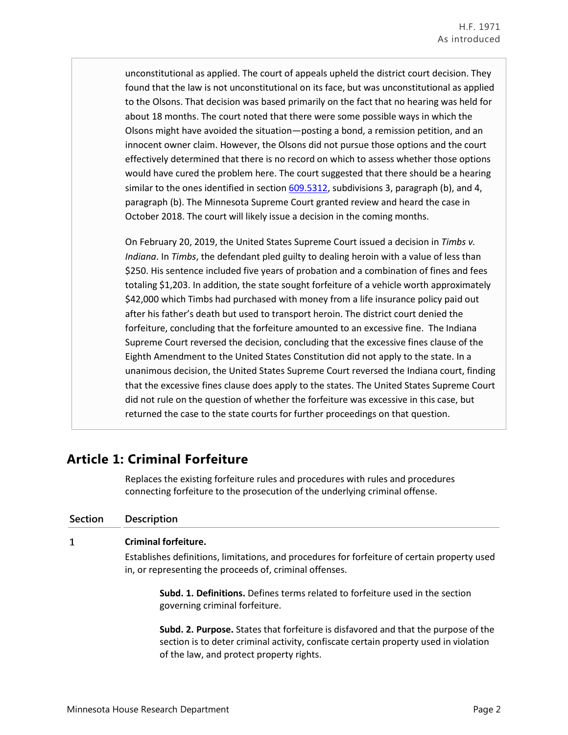unconstitutional as applied. The court of appeals upheld the district court decision. They found that the law is not unconstitutional on its face, but was unconstitutional as applied to the Olsons. That decision was based primarily on the fact that no hearing was held for about 18 months. The court noted that there were some possible ways in which the Olsons might have avoided the situation—posting a bond, a remission petition, and an innocent owner claim. However, the Olsons did not pursue those options and the court effectively determined that there is no record on which to assess whether those options would have cured the problem here. The court suggested that there should be a hearing similar to the ones identified in section [609.5312,](https://www.revisor.mn.gov/statutes/?id=609.5312) subdivisions 3, paragraph (b), and 4, paragraph (b). The Minnesota Supreme Court granted review and heard the case in October 2018. The court will likely issue a decision in the coming months.

On February 20, 2019, the United States Supreme Court issued a decision in *Timbs v. Indiana*. In *Timbs*, the defendant pled guilty to dealing heroin with a value of less than \$250. His sentence included five years of probation and a combination of fines and fees totaling \$1,203. In addition, the state sought forfeiture of a vehicle worth approximately \$42,000 which Timbs had purchased with money from a life insurance policy paid out after his father's death but used to transport heroin. The district court denied the forfeiture, concluding that the forfeiture amounted to an excessive fine. The Indiana Supreme Court reversed the decision, concluding that the excessive fines clause of the Eighth Amendment to the United States Constitution did not apply to the state. In a unanimous decision, the United States Supreme Court reversed the Indiana court, finding that the excessive fines clause does apply to the states. The United States Supreme Court did not rule on the question of whether the forfeiture was excessive in this case, but returned the case to the state courts for further proceedings on that question.

## **Article 1: Criminal Forfeiture**

Replaces the existing forfeiture rules and procedures with rules and procedures connecting forfeiture to the prosecution of the underlying criminal offense.

| Section | <b>Description</b>                                                                                                                                      |
|---------|---------------------------------------------------------------------------------------------------------------------------------------------------------|
| 1       | <b>Criminal forfeiture.</b>                                                                                                                             |
|         | Establishes definitions, limitations, and procedures for forfeiture of certain property used<br>in, or representing the proceeds of, criminal offenses. |
|         | <b>Subd. 1. Definitions.</b> Defines terms related to forfeiture used in the section<br>governing criminal forfeiture.                                  |

**Subd. 2. Purpose.** States that forfeiture is disfavored and that the purpose of the section is to deter criminal activity, confiscate certain property used in violation of the law, and protect property rights.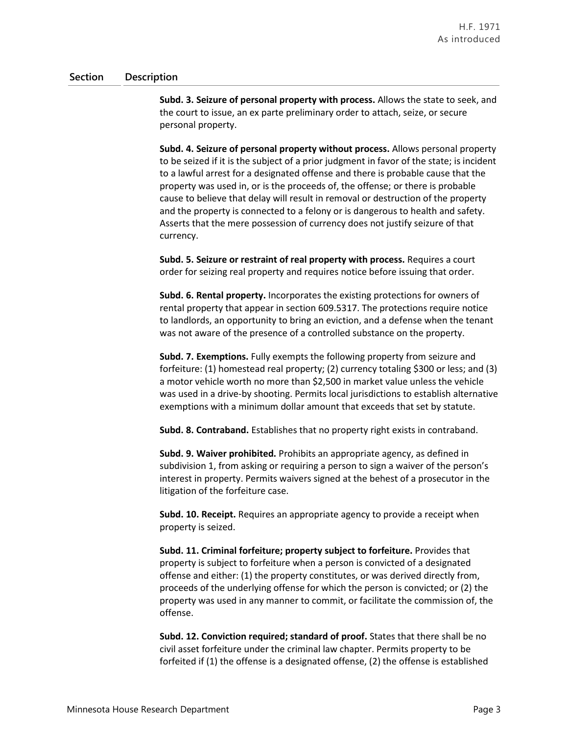**Subd. 3. Seizure of personal property with process.** Allows the state to seek, and the court to issue, an ex parte preliminary order to attach, seize, or secure personal property.

**Subd. 4. Seizure of personal property without process.** Allows personal property to be seized if it is the subject of a prior judgment in favor of the state; is incident to a lawful arrest for a designated offense and there is probable cause that the property was used in, or is the proceeds of, the offense; or there is probable cause to believe that delay will result in removal or destruction of the property and the property is connected to a felony or is dangerous to health and safety. Asserts that the mere possession of currency does not justify seizure of that currency.

**Subd. 5. Seizure or restraint of real property with process.** Requires a court order for seizing real property and requires notice before issuing that order.

**Subd. 6. Rental property.** Incorporates the existing protections for owners of rental property that appear in section 609.5317. The protections require notice to landlords, an opportunity to bring an eviction, and a defense when the tenant was not aware of the presence of a controlled substance on the property.

**Subd. 7. Exemptions.** Fully exempts the following property from seizure and forfeiture: (1) homestead real property; (2) currency totaling \$300 or less; and (3) a motor vehicle worth no more than \$2,500 in market value unless the vehicle was used in a drive-by shooting. Permits local jurisdictions to establish alternative exemptions with a minimum dollar amount that exceeds that set by statute.

**Subd. 8. Contraband.** Establishes that no property right exists in contraband.

**Subd. 9. Waiver prohibited.** Prohibits an appropriate agency, as defined in subdivision 1, from asking or requiring a person to sign a waiver of the person's interest in property. Permits waivers signed at the behest of a prosecutor in the litigation of the forfeiture case.

**Subd. 10. Receipt.** Requires an appropriate agency to provide a receipt when property is seized.

**Subd. 11. Criminal forfeiture; property subject to forfeiture.** Provides that property is subject to forfeiture when a person is convicted of a designated offense and either: (1) the property constitutes, or was derived directly from, proceeds of the underlying offense for which the person is convicted; or (2) the property was used in any manner to commit, or facilitate the commission of, the offense.

**Subd. 12. Conviction required; standard of proof.** States that there shall be no civil asset forfeiture under the criminal law chapter. Permits property to be forfeited if (1) the offense is a designated offense, (2) the offense is established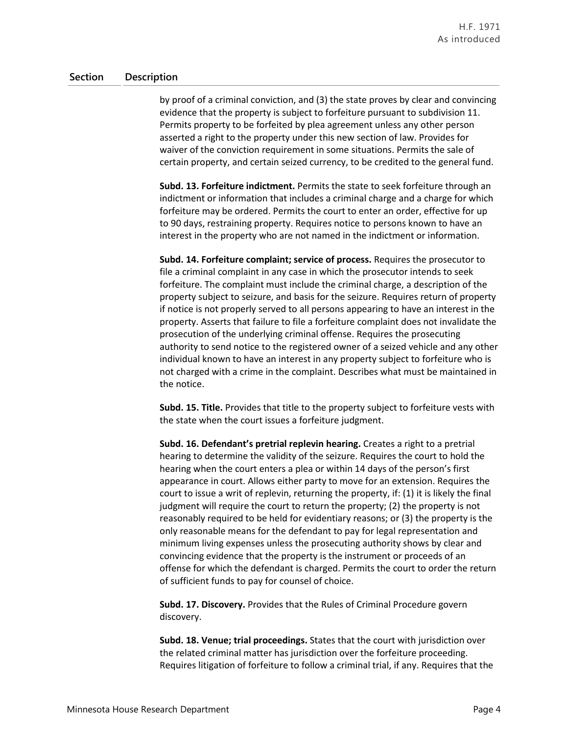by proof of a criminal conviction, and (3) the state proves by clear and convincing evidence that the property is subject to forfeiture pursuant to subdivision 11. Permits property to be forfeited by plea agreement unless any other person asserted a right to the property under this new section of law. Provides for waiver of the conviction requirement in some situations. Permits the sale of certain property, and certain seized currency, to be credited to the general fund.

**Subd. 13. Forfeiture indictment.** Permits the state to seek forfeiture through an indictment or information that includes a criminal charge and a charge for which forfeiture may be ordered. Permits the court to enter an order, effective for up to 90 days, restraining property. Requires notice to persons known to have an interest in the property who are not named in the indictment or information.

**Subd. 14. Forfeiture complaint; service of process.** Requires the prosecutor to file a criminal complaint in any case in which the prosecutor intends to seek forfeiture. The complaint must include the criminal charge, a description of the property subject to seizure, and basis for the seizure. Requires return of property if notice is not properly served to all persons appearing to have an interest in the property. Asserts that failure to file a forfeiture complaint does not invalidate the prosecution of the underlying criminal offense. Requires the prosecuting authority to send notice to the registered owner of a seized vehicle and any other individual known to have an interest in any property subject to forfeiture who is not charged with a crime in the complaint. Describes what must be maintained in the notice.

**Subd. 15. Title.** Provides that title to the property subject to forfeiture vests with the state when the court issues a forfeiture judgment.

**Subd. 16. Defendant's pretrial replevin hearing.** Creates a right to a pretrial hearing to determine the validity of the seizure. Requires the court to hold the hearing when the court enters a plea or within 14 days of the person's first appearance in court. Allows either party to move for an extension. Requires the court to issue a writ of replevin, returning the property, if: (1) it is likely the final judgment will require the court to return the property; (2) the property is not reasonably required to be held for evidentiary reasons; or (3) the property is the only reasonable means for the defendant to pay for legal representation and minimum living expenses unless the prosecuting authority shows by clear and convincing evidence that the property is the instrument or proceeds of an offense for which the defendant is charged. Permits the court to order the return of sufficient funds to pay for counsel of choice.

**Subd. 17. Discovery.** Provides that the Rules of Criminal Procedure govern discovery.

**Subd. 18. Venue; trial proceedings.** States that the court with jurisdiction over the related criminal matter has jurisdiction over the forfeiture proceeding. Requires litigation of forfeiture to follow a criminal trial, if any. Requires that the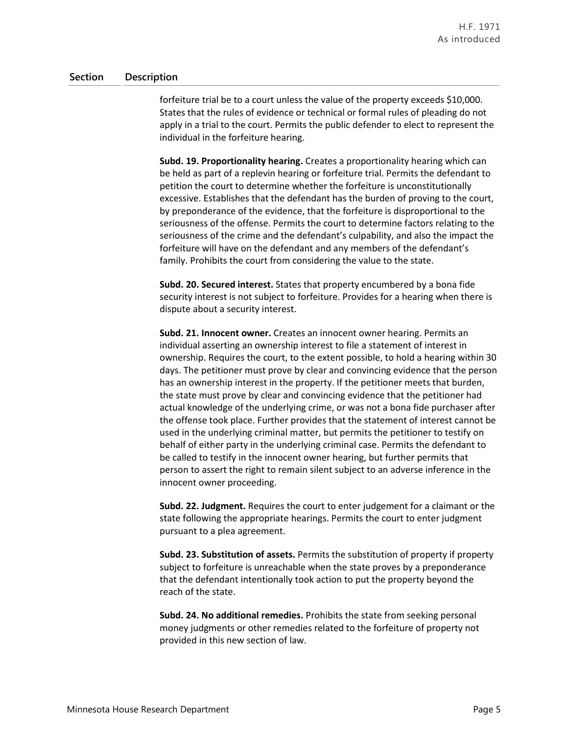forfeiture trial be to a court unless the value of the property exceeds \$10,000. States that the rules of evidence or technical or formal rules of pleading do not apply in a trial to the court. Permits the public defender to elect to represent the individual in the forfeiture hearing.

**Subd. 19. Proportionality hearing.** Creates a proportionality hearing which can be held as part of a replevin hearing or forfeiture trial. Permits the defendant to petition the court to determine whether the forfeiture is unconstitutionally excessive. Establishes that the defendant has the burden of proving to the court, by preponderance of the evidence, that the forfeiture is disproportional to the seriousness of the offense. Permits the court to determine factors relating to the seriousness of the crime and the defendant's culpability, and also the impact the forfeiture will have on the defendant and any members of the defendant's family. Prohibits the court from considering the value to the state.

**Subd. 20. Secured interest.** States that property encumbered by a bona fide security interest is not subject to forfeiture. Provides for a hearing when there is dispute about a security interest.

**Subd. 21. Innocent owner.** Creates an innocent owner hearing. Permits an individual asserting an ownership interest to file a statement of interest in ownership. Requires the court, to the extent possible, to hold a hearing within 30 days. The petitioner must prove by clear and convincing evidence that the person has an ownership interest in the property. If the petitioner meets that burden, the state must prove by clear and convincing evidence that the petitioner had actual knowledge of the underlying crime, or was not a bona fide purchaser after the offense took place. Further provides that the statement of interest cannot be used in the underlying criminal matter, but permits the petitioner to testify on behalf of either party in the underlying criminal case. Permits the defendant to be called to testify in the innocent owner hearing, but further permits that person to assert the right to remain silent subject to an adverse inference in the innocent owner proceeding.

**Subd. 22. Judgment.** Requires the court to enter judgement for a claimant or the state following the appropriate hearings. Permits the court to enter judgment pursuant to a plea agreement.

**Subd. 23. Substitution of assets.** Permits the substitution of property if property subject to forfeiture is unreachable when the state proves by a preponderance that the defendant intentionally took action to put the property beyond the reach of the state.

**Subd. 24. No additional remedies.** Prohibits the state from seeking personal money judgments or other remedies related to the forfeiture of property not provided in this new section of law.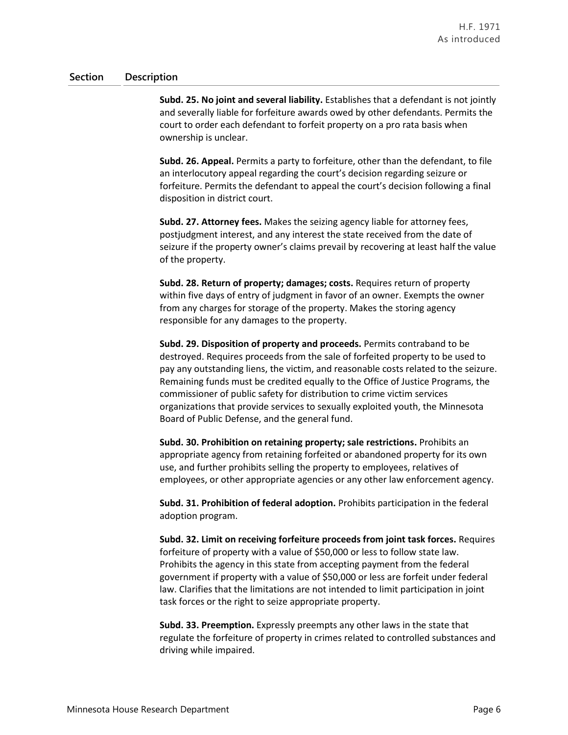**Subd. 25. No joint and several liability.** Establishes that a defendant is not jointly and severally liable for forfeiture awards owed by other defendants. Permits the court to order each defendant to forfeit property on a pro rata basis when ownership is unclear.

**Subd. 26. Appeal.** Permits a party to forfeiture, other than the defendant, to file an interlocutory appeal regarding the court's decision regarding seizure or forfeiture. Permits the defendant to appeal the court's decision following a final disposition in district court.

**Subd. 27. Attorney fees.** Makes the seizing agency liable for attorney fees, postjudgment interest, and any interest the state received from the date of seizure if the property owner's claims prevail by recovering at least half the value of the property.

**Subd. 28. Return of property; damages; costs.** Requires return of property within five days of entry of judgment in favor of an owner. Exempts the owner from any charges for storage of the property. Makes the storing agency responsible for any damages to the property.

**Subd. 29. Disposition of property and proceeds.** Permits contraband to be destroyed. Requires proceeds from the sale of forfeited property to be used to pay any outstanding liens, the victim, and reasonable costs related to the seizure. Remaining funds must be credited equally to the Office of Justice Programs, the commissioner of public safety for distribution to crime victim services organizations that provide services to sexually exploited youth, the Minnesota Board of Public Defense, and the general fund.

**Subd. 30. Prohibition on retaining property; sale restrictions.** Prohibits an appropriate agency from retaining forfeited or abandoned property for its own use, and further prohibits selling the property to employees, relatives of employees, or other appropriate agencies or any other law enforcement agency.

**Subd. 31. Prohibition of federal adoption.** Prohibits participation in the federal adoption program.

**Subd. 32. Limit on receiving forfeiture proceeds from joint task forces.** Requires forfeiture of property with a value of \$50,000 or less to follow state law. Prohibits the agency in this state from accepting payment from the federal government if property with a value of \$50,000 or less are forfeit under federal law. Clarifies that the limitations are not intended to limit participation in joint task forces or the right to seize appropriate property.

**Subd. 33. Preemption.** Expressly preempts any other laws in the state that regulate the forfeiture of property in crimes related to controlled substances and driving while impaired.